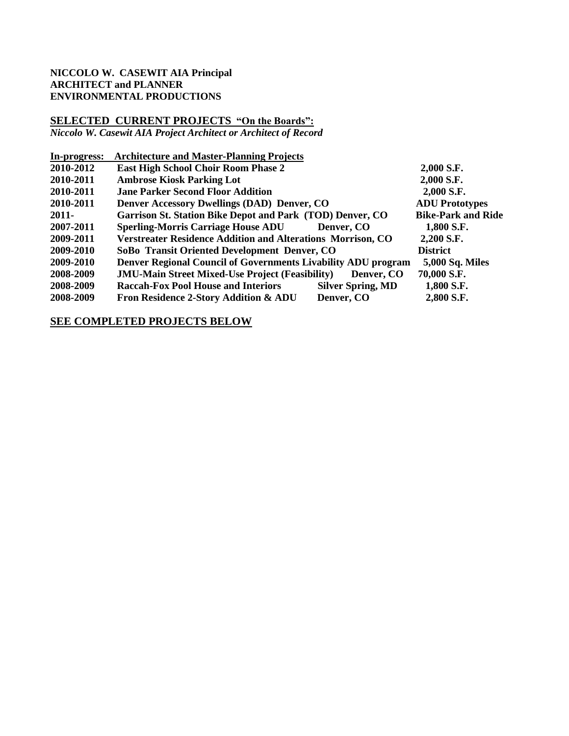### **NICCOLO W. CASEWIT AIA Principal ARCHITECT and PLANNER ENVIRONMENTAL PRODUCTIONS**

# **SELECTED CURRENT PROJECTS "On the Boards":**

*Niccolo W. Casewit AIA Project Architect or Architect of Record*

| In-progress: | <b>Architecture and Master-Planning Projects</b>                   |                          |                           |
|--------------|--------------------------------------------------------------------|--------------------------|---------------------------|
| 2010-2012    | <b>East High School Choir Room Phase 2</b>                         |                          | 2,000 S.F.                |
| 2010-2011    | <b>Ambrose Kiosk Parking Lot</b>                                   |                          | 2,000 S.F.                |
| 2010-2011    | <b>Jane Parker Second Floor Addition</b>                           |                          | 2,000 S.F.                |
| 2010-2011    | <b>Denver Accessory Dwellings (DAD) Denver, CO</b>                 |                          | <b>ADU Prototypes</b>     |
| $2011 -$     | Garrison St. Station Bike Depot and Park (TOD) Denver, CO          |                          | <b>Bike-Park and Ride</b> |
| 2007-2011    | <b>Sperling-Morris Carriage House ADU</b>                          | Denver, CO               | 1,800 S.F.                |
| 2009-2011    | <b>Verstreater Residence Addition and Alterations Morrison, CO</b> |                          | 2,200 S.F.                |
| 2009-2010    | SoBo Transit Oriented Development Denver, CO                       |                          | <b>District</b>           |
| 2009-2010    | Denver Regional Council of Governments Livability ADU program      |                          | <b>5,000 Sq. Miles</b>    |
| 2008-2009    | <b>JMU-Main Street Mixed-Use Project (Feasibility)</b>             | Denver, CO               | 70,000 S.F.               |
| 2008-2009    | <b>Raccah-Fox Pool House and Interiors</b>                         | <b>Silver Spring, MD</b> | 1,800 S.F.                |
| 2008-2009    | <b>Fron Residence 2-Story Addition &amp; ADU</b>                   | Denver, CO               | 2,800 S.F.                |

### **SEE COMPLETED PROJECTS BELOW**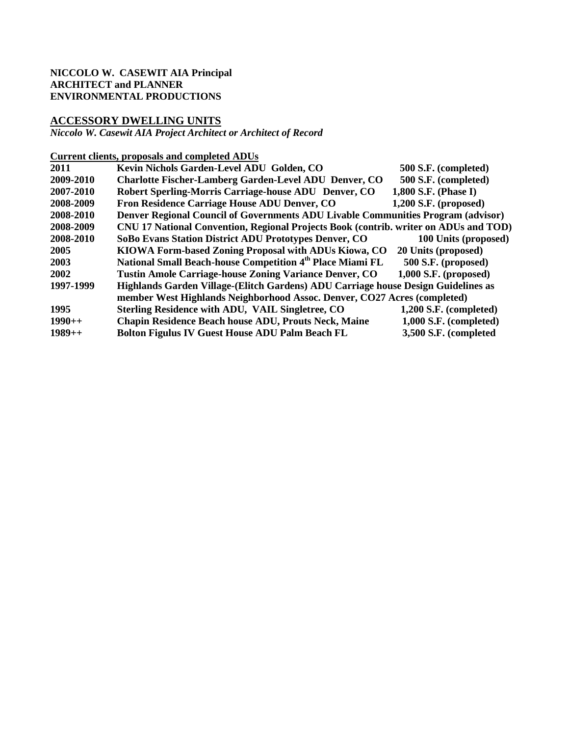### **NICCOLO W. CASEWIT AIA Principal ARCHITECT and PLANNER ENVIRONMENTAL PRODUCTIONS**

## **ACCESSORY DWELLING UNITS**

*Niccolo W. Casewit AIA Project Architect or Architect of Record*

### **Current clients, proposals and completed ADUs**

| 2011      | Kevin Nichols Garden-Level ADU Golden, CO                                            | 500 S.F. (completed)     |
|-----------|--------------------------------------------------------------------------------------|--------------------------|
| 2009-2010 | <b>Charlotte Fischer-Lamberg Garden-Level ADU Denver, CO</b>                         | 500 S.F. (completed)     |
| 2007-2010 | Robert Sperling-Morris Carriage-house ADU Denver, CO                                 | 1,800 S.F. (Phase I)     |
| 2008-2009 | Fron Residence Carriage House ADU Denver, CO                                         | $1,200$ S.F. (proposed)  |
| 2008-2010 | Denver Regional Council of Governments ADU Livable Communities Program (advisor)     |                          |
| 2008-2009 | CNU 17 National Convention, Regional Projects Book (contrib. writer on ADUs and TOD) |                          |
| 2008-2010 | SoBo Evans Station District ADU Prototypes Denver, CO                                | 100 Units (proposed)     |
| 2005      | KIOWA Form-based Zoning Proposal with ADUs Kiowa, CO                                 | 20 Units (proposed)      |
| 2003      | National Small Beach-house Competition 4 <sup>th</sup> Place Miami FL                | 500 S.F. (proposed)      |
| 2002      | Tustin Amole Carriage-house Zoning Variance Denver, CO                               | $1,000$ S.F. (proposed)  |
| 1997-1999 | Highlands Garden Village-(Elitch Gardens) ADU Carriage house Design Guidelines as    |                          |
|           | member West Highlands Neighborhood Assoc. Denver, CO27 Acres (completed)             |                          |
| 1995      | Sterling Residence with ADU, VAIL Singletree, CO                                     | $1,200$ S.F. (completed) |
| $1990++$  | <b>Chapin Residence Beach house ADU, Prouts Neck, Maine</b>                          | 1,000 S.F. (completed)   |
| $1989++$  | <b>Bolton Figulus IV Guest House ADU Palm Beach FL</b>                               | 3,500 S.F. (completed    |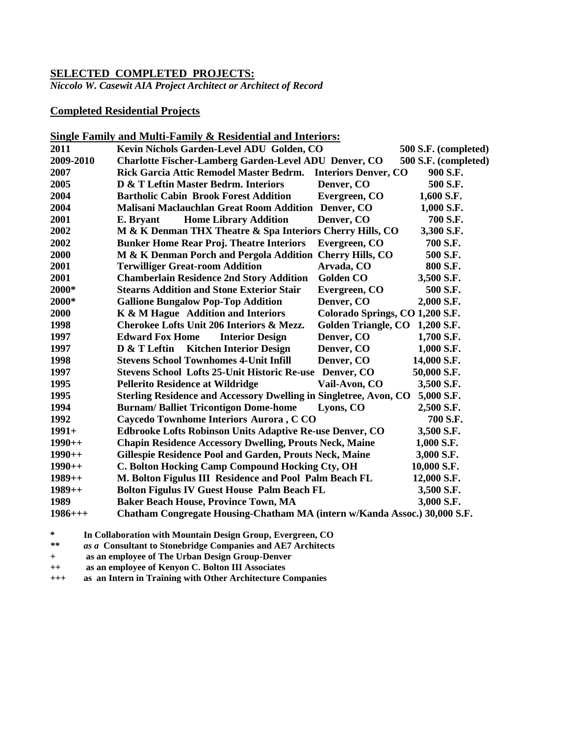## **SELECTED COMPLETED PROJECTS:**

*Niccolo W. Casewit AIA Project Architect or Architect of Record*

### **Completed Residential Projects**

|           | Single Family and Multi-Family & Residential and Interiors:               |                                 |                      |
|-----------|---------------------------------------------------------------------------|---------------------------------|----------------------|
| 2011      | Kevin Nichols Garden-Level ADU Golden, CO                                 |                                 | 500 S.F. (completed) |
| 2009-2010 | <b>Charlotte Fischer-Lamberg Garden-Level ADU Denver, CO</b>              |                                 | 500 S.F. (completed) |
| 2007      | Rick Garcia Attic Remodel Master Bedrm.                                   | <b>Interiors Denver, CO</b>     | 900 S.F.             |
| 2005      | D & T Leftin Master Bedrm. Interiors                                      | Denver, CO                      | 500 S.F.             |
| 2004      | <b>Bartholic Cabin Brook Forest Addition</b>                              | Evergreen, CO                   | 1,600 S.F.           |
| 2004      | Malisani Maclauchlan Great Room Addition Denver, CO                       |                                 | 1,000 S.F.           |
| 2001      | <b>Home Library Addition</b><br>E. Bryant                                 | Denver, CO                      | 700 S.F.             |
| 2002      | M & K Denman THX Theatre & Spa Interiors Cherry Hills, CO                 |                                 | 3,300 S.F.           |
| 2002      | <b>Bunker Home Rear Proj. Theatre Interiors</b>                           | Evergreen, CO                   | 700 S.F.             |
| 2000      | M & K Denman Porch and Pergola Addition Cherry Hills, CO                  |                                 | 500 S.F.             |
| 2001      | <b>Terwilliger Great-room Addition</b>                                    | Arvada, CO                      | 800 S.F.             |
| 2001      | <b>Chamberlain Residence 2nd Story Addition</b>                           | <b>Golden CO</b>                | 3,500 S.F.           |
| 2000*     | <b>Stearns Addition and Stone Exterior Stair</b>                          | Evergreen, CO                   | 500 S.F.             |
| 2000*     | <b>Gallione Bungalow Pop-Top Addition</b>                                 | Denver, CO                      | 2,000 S.F.           |
| 2000      | K & M Hague Addition and Interiors                                        | Colorado Springs, CO 1,200 S.F. |                      |
| 1998      | Cherokee Lofts Unit 206 Interiors & Mezz.                                 | <b>Golden Triangle, CO</b>      | 1,200 S.F.           |
| 1997      | <b>Edward Fox Home</b><br><b>Interior Design</b>                          | Denver, CO                      | 1,700 S.F.           |
| 1997      | D & T Leftin Kitchen Interior Design                                      | Denver, CO                      | 1,000 S.F.           |
| 1998      | <b>Stevens School Townhomes 4-Unit Infill</b>                             | Denver, CO                      | 14,000 S.F.          |
| 1997      | Stevens School Lofts 25-Unit Historic Re-use Denver, CO                   |                                 | 50,000 S.F.          |
| 1995      | <b>Pellerito Residence at Wildridge</b>                                   | Vail-Avon, CO                   | 3,500 S.F.           |
| 1995      | Sterling Residence and Accessory Dwelling in Singletree, Avon, CO         |                                 | 5,000 S.F.           |
| 1994      | <b>Burnam/Balliet Tricontigon Dome-home</b>                               | Lyons, CO                       | 2,500 S.F.           |
| 1992      | Caycedo Townhome Interiors Aurora, CCO                                    |                                 | 700 S.F.             |
| $1991+$   | Edbrooke Lofts Robinson Units Adaptive Re-use Denver, CO                  |                                 | 3,500 S.F.           |
| $1990++$  | <b>Chapin Residence Accessory Dwelling, Prouts Neck, Maine</b>            |                                 | 1,000 S.F.           |
| $1990++$  | <b>Gillespie Residence Pool and Garden, Prouts Neck, Maine</b>            |                                 | 3,000 S.F.           |
| $1990++$  | C. Bolton Hocking Camp Compound Hocking Cty, OH                           |                                 | 10,000 S.F.          |
| $1989++$  | M. Bolton Figulus III Residence and Pool Palm Beach FL                    |                                 | 12,000 S.F.          |
| $1989++$  | <b>Bolton Figulus IV Guest House Palm Beach FL</b>                        |                                 | 3,500 S.F.           |
| 1989      | <b>Baker Beach House, Province Town, MA</b>                               |                                 | 3,000 S.F.           |
| $1986++$  | Chatham Congregate Housing-Chatham MA (intern w/Kanda Assoc.) 30,000 S.F. |                                 |                      |

**\* In Collaboration with Mountain Design Group, Evergreen, CO**

*\*\* as a* **Consultant to Stonebridge Companies and AE7 Architects**

*+* **as an employee of The Urban Design Group-Denver**

*++* **as an employee of Kenyon C. Bolton III Associates**

*+++* **as an Intern in Training with Other Architecture Companies**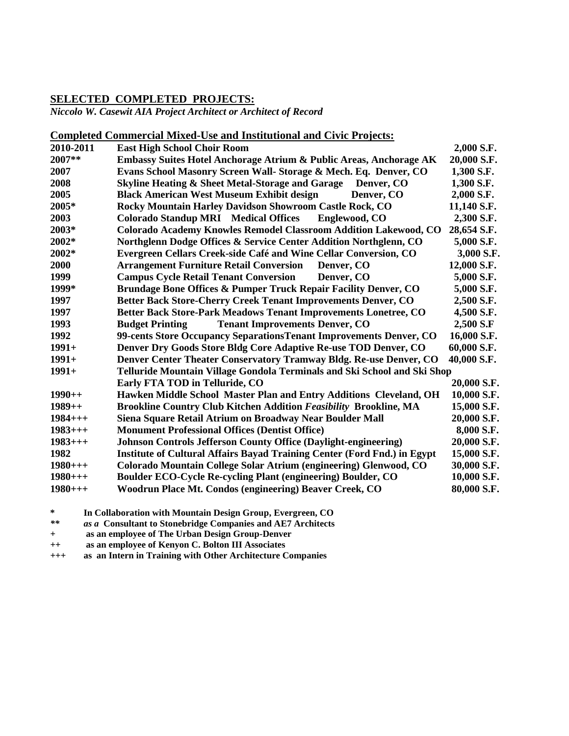### **SELECTED COMPLETED PROJECTS:**

*Niccolo W. Casewit AIA Project Architect or Architect of Record*

### **Completed Commercial Mixed-Use and Institutional and Civic Projects:**

| 2010-2011 | <b>East High School Choir Room</b>                                              | 2,000 S.F.  |
|-----------|---------------------------------------------------------------------------------|-------------|
| 2007**    | Embassy Suites Hotel Anchorage Atrium & Public Areas, Anchorage AK              | 20,000 S.F. |
| 2007      | Evans School Masonry Screen Wall- Storage & Mech. Eq. Denver, CO                | 1,300 S.F.  |
| 2008      | <b>Skyline Heating &amp; Sheet Metal-Storage and Garage</b><br>Denver, CO       | 1,300 S.F.  |
| 2005      | <b>Black American West Museum Exhibit design</b><br>Denver, CO                  | 2,000 S.F.  |
| 2005*     | Rocky Mountain Harley Davidson Showroom Castle Rock, CO                         | 11,140 S.F. |
| 2003      | <b>Colorado Standup MRI Medical Offices</b><br>Englewood, CO                    | 2,300 S.F.  |
| 2003*     | Colorado Academy Knowles Remodel Classroom Addition Lakewood, CO                | 28,654 S.F. |
| 2002*     | Northglenn Dodge Offices & Service Center Addition Northglenn, CO               | 5,000 S.F.  |
| 2002*     | Evergreen Cellars Creek-side Café and Wine Cellar Conversion, CO                | 3,000 S.F.  |
| 2000      | <b>Arrangement Furniture Retail Conversion</b><br>Denver, CO                    | 12,000 S.F. |
| 1999      | <b>Campus Cycle Retail Tenant Conversion</b><br>Denver, CO                      | 5,000 S.F.  |
| 1999*     | Brundage Bone Offices & Pumper Truck Repair Facility Denver, CO                 | 5,000 S.F.  |
| 1997      | Better Back Store-Cherry Creek Tenant Improvements Denver, CO                   | 2,500 S.F.  |
| 1997      | Better Back Store-Park Meadows Tenant Improvements Lonetree, CO                 | 4,500 S.F.  |
| 1993      | <b>Budget Printing</b><br><b>Tenant Improvements Denver, CO</b>                 | 2,500 S.F   |
| 1992      | 99-cents Store Occupancy Separations Tenant Improvements Denver, CO             | 16,000 S.F. |
| $1991+$   | Denver Dry Goods Store Bldg Core Adaptive Re-use TOD Denver, CO                 | 60,000 S.F. |
| $1991+$   | Denver Center Theater Conservatory Tramway Bldg. Re-use Denver, CO              | 40,000 S.F. |
| $1991+$   | Telluride Mountain Village Gondola Terminals and Ski School and Ski Shop        |             |
|           | Early FTA TOD in Telluride, CO                                                  | 20,000 S.F. |
| $1990++$  | Hawken Middle School Master Plan and Entry Additions Cleveland, OH              | 10,000 S.F. |
| $1989++$  | <b>Brookline Country Club Kitchen Addition Feasibility Brookline, MA</b>        | 15,000 S.F. |
| $1984++$  | Siena Square Retail Atrium on Broadway Near Boulder Mall                        | 20,000 S.F. |
| $1983++$  | <b>Monument Professional Offices (Dentist Office)</b>                           | 8,000 S.F.  |
| $1983++$  | <b>Johnson Controls Jefferson County Office (Daylight-engineering)</b>          | 20,000 S.F. |
| 1982      | <b>Institute of Cultural Affairs Bayad Training Center (Ford Fnd.) in Egypt</b> | 15,000 S.F. |
| $1980++$  | Colorado Mountain College Solar Atrium (engineering) Glenwood, CO               | 30,000 S.F. |
| $1980++$  | <b>Boulder ECO-Cycle Re-cycling Plant (engineering) Boulder, CO</b>             | 10,000 S.F. |
| $1980++$  | Woodrun Place Mt. Condos (engineering) Beaver Creek, CO                         | 80,000 S.F. |

**\* In Collaboration with Mountain Design Group, Evergreen, CO**

*\*\* as a* **Consultant to Stonebridge Companies and AE7 Architects**

*+* **as an employee of The Urban Design Group-Denver**

*++* **as an employee of Kenyon C. Bolton III Associates**

*+++* **as an Intern in Training with Other Architecture Companies**